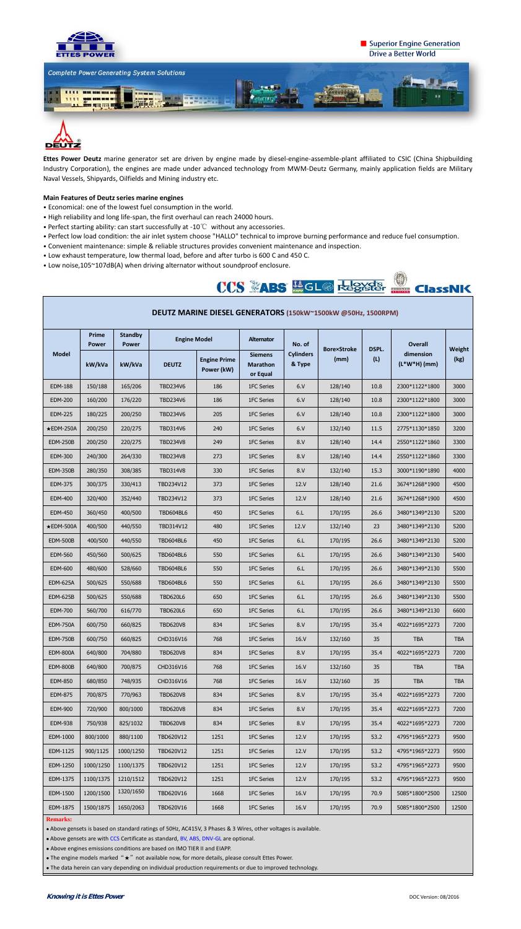

**DEUTZ** 

## Superior Engine Generation **Drive a Better World**

**ClassNK** 



**Ettes Power Deutz** marine generator set are driven by engine made by diesel-engine-assemble-plant affiliated to CSIC (China Shipbuilding Industry Corporation), the engines are made under advanced technology from MWM-Deutz Germany, mainly application fields are Military Naval Vessels, Shipyards, Oilfields and Mining industry etc.

### **Main Features of Deutz series marine engines**

- Economical: one of the lowest fuel consumption in the world.
- High reliability and long life-span, the first overhaul can reach 24000 hours.
- Perfect starting ability: can start successfully at -10℃ without any accessories.
- Perfect low load condition: the air inlet system choose "HALLO" technical to improve burning performance and reduce fuel consumption.
- Convenient maintenance: simple & reliable structures provides convenient maintenance and inspection.
- Low exhaust temperature, low thermal load, before and after turbo is 600 C and 450 C.
- Low noise,105~107dB(A) when driving alternator without soundproof enclosure.



| DEUTZ MARINE DIESEL GENERATORS (150kW~1500kW @50Hz, 1500RPM) |                       |                                |                     |                                   |                                               |                            |                    |              |                             |            |  |
|--------------------------------------------------------------|-----------------------|--------------------------------|---------------------|-----------------------------------|-----------------------------------------------|----------------------------|--------------------|--------------|-----------------------------|------------|--|
| <b>Model</b>                                                 | Prime<br><b>Power</b> | <b>Standby</b><br><b>Power</b> | <b>Engine Model</b> |                                   | Alternator                                    | No. of                     | <b>Bore×Stroke</b> | <b>DSPL.</b> | <b>Overall</b>              | Weight     |  |
|                                                              | kW/kVa                | kW/kVa                         | <b>DEUTZ</b>        | <b>Engine Prime</b><br>Power (kW) | <b>Siemens</b><br><b>Marathon</b><br>or Equal | <b>Cylinders</b><br>& Type | (mm)               | (L)          | dimension<br>$(L*W*H)$ (mm) | (kg)       |  |
| <b>EDM-188</b>                                               | 150/188               | 165/206                        | <b>TBD234V6</b>     | 186                               | 1FC Series                                    | 6. V                       | 128/140            | 10.8         | 2300*1122*1800              | 3000       |  |
| <b>EDM-200</b>                                               | 160/200               | 176/220                        | <b>TBD234V6</b>     | 186                               | 1FC Series                                    | 6. V                       | 128/140            | 10.8         | 2300*1122*1800              | 3000       |  |
| <b>EDM-225</b>                                               | 180/225               | 200/250                        | <b>TBD234V6</b>     | 205                               | 1FC Series                                    | 6. V                       | 128/140            | 10.8         | 2300*1122*1800              | 3000       |  |
| $\star$ EDM-250A                                             | 200/250               | 220/275                        | <b>TBD314V6</b>     | 240                               | 1FC Series                                    | 6. V                       | 132/140            | 11.5         | 2775*1130*1850              | 3200       |  |
| <b>EDM-250B</b>                                              | 200/250               | 220/275                        | <b>TBD234V8</b>     | 249                               | 1FC Series                                    | 8.V                        | 128/140            | 14.4         | 2550*1122*1860              | 3300       |  |
| <b>EDM-300</b>                                               | 240/300               | 264/330                        | <b>TBD234V8</b>     | 273                               | 1FC Series                                    | 8. V                       | 128/140            | 14.4         | 2550*1122*1860              | 3300       |  |
| <b>EDM-350B</b>                                              | 280/350               | 308/385                        | <b>TBD314V8</b>     | 330                               | 1FC Series                                    | 8.V                        | 132/140            | 15.3         | 3000*1190*1890              | 4000       |  |
| <b>EDM-375</b>                                               | 300/375               | 330/413                        | TBD234V12           | 373                               | 1FC Series                                    | 12.V                       | 128/140            | 21.6         | 3674*1268*1900              | 4500       |  |
| <b>EDM-400</b>                                               | 320/400               | 352/440                        | TBD234V12           | 373                               | 1FC Series                                    | 12.V                       | 128/140            | 21.6         | 3674*1268*1900              | 4500       |  |
| <b>EDM-450</b>                                               | 360/450               | 400/500                        | TBD604BL6           | 450                               | 1FC Series                                    | 6.L                        | 170/195            | 26.6         | 3480*1349*2130              | 5200       |  |
| $\star$ EDM-500A                                             | 400/500               | 440/550                        | TBD314V12           | 480                               | 1FC Series                                    | 12.V                       | 132/140            | 23           | 3480*1349*2130              | 5200       |  |
| <b>EDM-500B</b>                                              | 400/500               | 440/550                        | <b>TBD604BL6</b>    | 450                               | 1FC Series                                    | 6.L                        | 170/195            | 26.6         | 3480*1349*2130              | 5200       |  |
| <b>EDM-560</b>                                               | 450/560               | 500/625                        | <b>TBD604BL6</b>    | 550                               | 1FC Series                                    | 6.L                        | 170/195            | 26.6         | 3480*1349*2130              | 5400       |  |
| <b>EDM-600</b>                                               | 480/600               | 528/660                        | <b>TBD604BL6</b>    | 550                               | 1FC Series                                    | 6.L                        | 170/195            | 26.6         | 3480*1349*2130              | 5500       |  |
| <b>EDM-625A</b>                                              | 500/625               | 550/688                        | TBD604BL6           | 550                               | 1FC Series                                    | 6 <sub>l</sub>             | 170/195            | 26.6         | 3480*1349*2130              | 5500       |  |
| <b>EDM-625B</b>                                              | 500/625               | 550/688                        | <b>TBD620L6</b>     | 650                               | 1FC Series                                    | 6.L                        | 170/195            | 26.6         | 3480*1349*2130              | 5500       |  |
| <b>EDM-700</b>                                               | 560/700               | 616/770                        | <b>TBD620L6</b>     | 650                               | 1FC Series                                    | 6.L                        | 170/195            | 26.6         | 3480*1349*2130              | 6600       |  |
| <b>EDM-750A</b>                                              | 600/750               | 660/825                        | <b>TBD620V8</b>     | 834                               | 1FC Series                                    | 8. V                       | 170/195            | 35.4         | 4022*1695*2273              | 7200       |  |
| <b>EDM-750B</b>                                              | 600/750               | 660/825                        | CHD316V16           | 768                               | 1FC Series                                    | 16.V                       | 132/160            | 35           | <b>TBA</b>                  | <b>TBA</b> |  |
| EDM-800A                                                     | 640/800               | 704/880                        | <b>TBD620V8</b>     | 834                               | 1FC Series                                    | 8. V                       | 170/195            | 35.4         | 4022*1695*2273              | 7200       |  |
| <b>EDM-800B</b>                                              | 640/800               | 700/875                        | CHD316V16           | 768                               | 1FC Series                                    | 16. V                      | 132/160            | 35           | <b>TBA</b>                  | <b>TBA</b> |  |
| <b>EDM-850</b>                                               | 680/850               | 748/935                        | CHD316V16           | 768                               | 1FC Series                                    | 16. V                      | 132/160            | 35           | <b>TBA</b>                  | <b>TBA</b> |  |
| <b>EDM-875</b>                                               | 700/875               | 770/963                        | <b>TBD620V8</b>     | 834                               | 1FC Series                                    | 8.V                        | 170/195            | 35.4         | 4022*1695*2273              | 7200       |  |
| <b>EDM-900</b>                                               | 720/900               | 800/1000                       | <b>TBD620V8</b>     | 834                               | 1FC Series                                    | 8. V                       | 170/195            | 35.4         | 4022*1695*2273              | 7200       |  |
| <b>EDM-938</b>                                               | 750/938               | 825/1032                       | <b>TBD620V8</b>     | 834                               | 1FC Series                                    | 8. V                       | 170/195            | 35.4         | 4022*1695*2273              | 7200       |  |
| EDM-1000                                                     | 800/1000              | 880/1100                       | TBD620V12           | 1251                              | 1FC Series                                    | 12.V                       | 170/195            | 53.2         | 4795*1965*2273              | 9500       |  |
| EDM-1125                                                     | 900/1125              | 1000/1250                      | TBD620V12           | 1251                              | 1FC Series                                    | 12.V                       | 170/195            | 53.2         | 4795*1965*2273              | 9500       |  |
| EDM-1250                                                     | 1000/1250             | 1100/1375                      | TBD620V12           | 1251                              | 1FC Series                                    | 12.V                       | 170/195            | 53.2         | 4795*1965*2273              | 9500       |  |
| EDM-1375                                                     | 1100/1375             | 1210/1512                      | TBD620V12           | 1251                              | 1FC Series                                    | 12.V                       | 170/195            | 53.2         | 4795*1965*2273              | 9500       |  |
| EDM-1500                                                     | 1200/1500             | 1320/1650                      | TBD620V16           | 1668                              | 1FC Series                                    | 16. V                      | 170/195            | 70.9         | 5085*1800*2500              | 12500      |  |
| EDM-1875                                                     | 1500/1875             | 1650/2063                      | TBD620V16           | 1668                              | 1FC Series                                    | 16. V                      | 170/195            | 70.9         | 5085*1800*2500              | 12500      |  |

#### **Remarks:**

—<br>—

● Above gensets is based on standard ratings of 50Hz, AC415V, 3 Phases & 3 Wires, other voltages is available.

• Above gensets are with CCS Certificate as standard, BV, ABS, DNV-GL are optional.

● Above engines emissions conditions are based on IMO TIER II and EIAPP.

• The engine models marked "★" not available now, for more details, please consult Ettes Power.

● The data herein can vary depending on individual production requirements or due to improved technology.